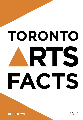# **TORONTO** RTS FACTS

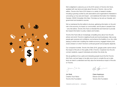

We're delighted to welcome you to the 2016 version of *Toronto Arts Facts*, updated with new facts and stats about the arts in Toronto. Like our first edition, *Toronto Arts Facts 2016* draws on a variety of research studies – including a growing number by arts associations and organizations interested in uncovering our true size and impact – and statistical information from Statistics Canada, CADAC (Canadian Arts Data / Données sur les arts au Canada), and government and academic sources.

We've maintained the first edition's structure, gathering information on the arts' role in the economy, its impact on communities, and its place in people's lives – and, like before, *Toronto Arts Facts* is intended first and foremost to provide fact-based information to policy makers and funders.

Toronto Arts Facts tells an increasingly compelling story about how the arts enliven and enrich Toronto's neighbourhoods and local businesses, help young people gain purpose and confidence, and enhance the livability of our city, while playing a central role in building the creative economy, engaged citizenry and social cohesion on which Toronto's continued growth and prosperity depends.

Our companion booklet, *Toronto Arts Stats 2016*, gauges public opinion about the impact of the arts on the quality of life in Toronto. It explores how the arts connect residents, support individuals and enliven the whole city.

We are gratified at how useful and interesting people found the first Toronto Arts Facts, and are happy to be able once more to compile the up-to-date facts we need to understand and fully value the tremendous impact of the arts on Toronto.

Jini Stolk Claire Hopkinson Creative Trust Fellow Director and CEO

Toronto Arts Foundation Toronto Arts Foundation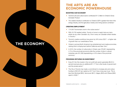# **THE ARTS ARE AN ECONOMIC POWERHOUSE**

#### BOOSTING OUR ECONOMY

- ▶ Toronto's arts and culture sector contributes \$11.3 billion to Ontario's Gross Domestic Product.1
- **The creative industry's contribution to Ontario's GDP is greater than that of the** energy industry, and the agriculture, forestry and mining sectors combined.<sup>2</sup>

#### CREATING EMPLOYMENT

**THE ECONOMY**

- $\blacktriangleright$  174,000 Torontonians work in the culture sector.<sup>3</sup>
- With 23,700 resident artists, Toronto is home to nearly twice as many artists as any other Canadian city. One in every six Canadian artists resides in Toronto.4
- $\triangleright$  Toronto's creative workforce has grown by 34% since 2001<sup>5</sup> a higher rate of growth than our overall labour force.
- **D** Ontario is among North America's top entertainment and media economies, ranking third in employment behind California and New York.<sup>2</sup>
- ▶ In 2010, the number of culture jobs in Ontario was 278,801 (representing 4.1% of the provincial economy) while the number of jobs in cultural industries was 301,090 (representing a 4.5% share of the provincial economy.7

#### PROVIDING RETURNS ON INVESTMENT

- Every \$1 the City invests in the non-profit arts sector generates \$8.25 in earned revenues plus an additional \$11.77 from other levels of government and the private sector.<sup>8</sup>
- The City of Toronto has made a commitment to increase arts and culture funding to \$25.00<sup>9</sup> per capita by 2017 but it has a long way to go. This is less than Montreal (\$55), Vancouver (\$47), Calgary (\$42) and Ottawa (\$28) spent in 2009.10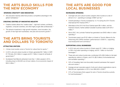# **THE ARTS BUILD SKILLS FOR THE NEW ECONOMY**

#### SPARKING CREATIVITY AND INNOVATION

Arts education teaches skills that provide a competitive advantage in the global marketplace.11

#### CREATING CENTRES OF INNOVATIVE INDUSTRY

- ▶ Creative clusters attract the "creative class" high-tech workers, architects, engineers, computer scientists, and other highly sought-after professionals.<sup>12</sup>
- **This attracts investment in high growth industries, more innovation, the** growth of new high-tech businesses, new jobs and economic growth.13

# **THE ARTS BRING TOURISTS AND DOLLARS TO TORONTO**

#### ATTRACTING VISITORS

- $\blacktriangleright$  4 times more tourists come to Toronto for culture than for sports.<sup>14</sup>
- ▶ In 2010, arts and culture tourists to Ontario generated \$3.7 billion in GDP, 67,700 jobs, \$2.4 billion in wages and \$1.7 billion in taxes for all levels of government.15
- Scotiabank Nuit Blanche attracted more than 1 million people in 2014, including close to 200,000 out-of-town visitors, for an economic impact of \$40.5 million.16

# **THE ARTS ARE GOOD FOR LOCAL BUSINESSES**

#### INCREASING SPENDING

- ▶ Overnight arts and culture tourists outspent other tourists at a rate of almost 2-to-1, spending an average of \$667 per trip.<sup>17</sup>
- ▶ Overall spending in Toronto increased by 12.1% during the 2014 Toronto International Film Festival (TIFF).<sup>18</sup>
- Attendees at the 2015 Hot Docs Festival spent \$6.4 million, and the Festival's industry market yielded Canadian business deals worth \$16.1 million.<sup>19</sup>
- Since 2007, the Luminato Festival has generated over \$450 million in visitor spending.<sup>20</sup>
- Torontonians spent over \$132 million on tickets to Toronto Alliance for the Performing Arts (TAPA) members' performances in 2009/10, supporting local employment and commerce.<sup>21</sup>

#### SUPPORTING LOCAL BUSINESSES

- ▶ In 2010 arts and culture tourists to Ontario spent \$1.1 billion on lodging, or 38% of all visitor spending on lodging, and \$1.1 billion on food and beverages.<sup>22</sup>
- ▶ These arts and culture tourists also contributed 43% (\$0.6 billion) of all retail spending by visitors in Ontario, and 51% (\$0.5 billion) of all entertainment and recreation spending.<sup>23</sup>
- ▶ 52% of Canadians feel more favourably towards businesses that support arts and culture.24
- Average annual corporate support of arts and cultural organizations rose to \$69,000 per organization in 2014, from \$56,000 in 2008.<sup>25</sup>
- ▶ 57% of Torontonians think support for arts in Toronto should be a priority for local businesses.26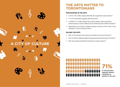

# **THE ARTS MATTER TO TORONTONIANS**

#### PARTICIPATING IN THE ARTS

- In 2012, 19.5 million people attended city-supported cultural events.<sup>27</sup>
- ▶ 71% of Torontonians regularly attend the arts.<sup>28</sup>
- In 2009/10, 2.3 million tickets were sold for theatre, dance and opera performances by Toronto Alliance for the Performing Arts (TAPA) members.<sup>29</sup>
- Significantly more Toronto residents donate to the arts (10%)<sup>30</sup> than in all of Canada (2.7%) and Ontario (2.8%).31

#### VALUING THE ARTS

- ▶ 96% of Torontonians see at least one benefit of the arts to the city.<sup>32</sup>
- 81% of Ontario residents believe that government should invest in the arts.<sup>34</sup>
- $\triangleright$  94% see a personal benefit of having art in public spaces.<sup>35</sup>



**71%**

of Torontonians regularly attend, volunteer, or donate to the arts.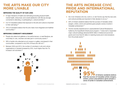# **THE ARTS MAKE OUR CITY MORE LIVABLE**

#### IMPROVING THE QUALITY OF OUR LIVES

- ▶ 8 major indicators of health and well-being (including physical health, mental health, stress level, and overall satisfaction with life) are strongly connected to attending, or participating in, cultural activities.<sup>35</sup>
- ▶ 9 of 10 Canadians believe that exposure to the arts and culture is important to their well-being.<sup>36</sup>
- ▶ 75% of Canadians believe that the arts make more integrated and healthier communities.37

#### IMPROVING COMMUNITY INVOLVEMENT

- People who attend art galleries or live performances, or read literature, are more likely to vote, volunteer and take part in community events.<sup>38</sup>
- ▶ 58% of adults who attended an art museum or gallery volunteered in their communities, compared to only 24% of those who did not.39
- Between 2004 and 2013, the number of volunteers in arts and culture organizations in Canada increased by 23%, much higher than the 7% increase in all volunteers.40



# **THE ARTS INCREASE CIVIC PRIDE AND INTERNATIONAL REPUTATION**

- Six in ten Ontarians who live, work in, or visit Toronto say that the city's arts and cultural activities are important in their decision to do so.<sup>41</sup>
- ▶ 95% of Ontario residents believe that the success of Canadian artists (singers, writers, actors and painters) gives people a sense of pride in Canadian achievement.42
- Toronto recently experienced an unprecedented Cultural Renaissance fuelled by the SuperBuild infrastructure program: 7 newly built or expanded major cultural buildings attracted \$338 million in federal and provincial grants and more than \$1 billion in matching funds and in-kind donations from the private sector.<sup>43</sup>

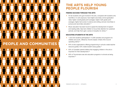# **PEOPLE AND COMMUNITIES**

# **THE ARTS HELP YOUNG PEOPLE FLOURISH**

#### FINDING SUCCESS THROUGH THE ARTS

- At-risk students who got involved in the arts, compared with students who had little or no arts exposure, have higher secondary school graduation rates; higher overall grade-point averages; higher math grade-point averages; higher test scores in science and writing; and are more likely to pursue post-secondary education.44
- Music education has been found to speed the development of speech and reading skills; help train children to focus their attention for sustained periods; and help them gain a sense of empathy for others.<sup>45</sup>

#### EDUCATING STUDENTS IN THE ARTS

- ▶ 1,522,532 students participated in 13,390 activities and programs for children and youth, offered by Toronto-based, Ontario Arts Council operating clients.46
- ▶ 64% of arts organizations offering programming in schools create teacher resource guides; 53% create student study guides.<sup>47</sup>
- ▶ 83% of Canadian parents believe that engaging children in the arts is important for their development.<sup>48</sup>
- 80% of Torontonians see arts education programs in schools as being important.49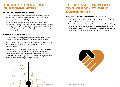# **THE ARTS STRENGTHEN OUR COMMUNITIES**

#### BUILDING BRIDGES BETWEEN CULTURES

- ▶ 46% of Toronto residents seek out a broad range of artistic activities including those from cultural traditions that are not familiar to them.<sup>50</sup> This is significantly higher (66%) for 18-24 year olds.
- ▶ 87% of Torontonians see at least one benefit of the arts to their neighbourhood. The top benefits are: creating a strong sense of community (60%), engaging youth (58%), making the neighbourhood a great place to live (55%), bringing neighbours together (52%), and supporting local businesses (48%).<sup>51</sup>

#### STRENGTHENING COMMUNITIES

- ▶ 40% of Toronto's performing arts organizations offer programs for the community, including youth, artists, adults, and at-risk/equity groups.52
- Arts, culture and heritage enhance understanding and capacity for action; build social cohesion; contribute to community development; and foster civic participation.<sup>53</sup>
- **Neighbourhood arts centres like Regent Park Daniels Spectrum increase** local arts opportunities, but also nurture celebrations and other community events; provide a place for young people to develop skills; and create opportunities for community groups to collaborate, exchange ideas, and involve residents in revitalizing their neighbourhood.<sup>54</sup>

 $\mathcal{O}$  $\overline{0}$ 

# **THE ARTS ALLOW PEOPLE TO GIVE BACK TO THEIR COMMUNITIES**

#### VOLUNTEERING ENCOURAGES COMMUNITY-BUILDING

- ▶ 5% of Torontonians regularly volunteer for an arts organization.<sup>55</sup> This is higher than the national average of 3%.<sup>56</sup>
- Volunteering helps "build stronger and safer communities," forms "strong community bonds," and creates "relationships between people who might not otherwise find each other." Arts goers are more likely to volunteer and donate their time to community groups and other organizations.<sup>57</sup>

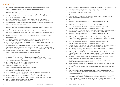#### **ENDNOTES**

- 1. 2016 Operating Budget Briefing Note: Impact of Increased Investments in Arts and Culture http://www.toronto.ca/legdocs/mmis/2016/bu/bgrd/backgroundfile-88367.pdf
- 2. The Ministry of Tourism and Culture, Ontario (2012). Ontario's Entertainment and Creative Cluster: A Framework for Growth. http://www.investtoronto.ca/InvestAssets/PDF/Reports/Creative\_Cluster\_Report.pdf
- 3. City of Toronto (2012). Cultural Research Fact Sheet: Contribution of Arts and Cultural Industries to Toronto's Gross Domestic Product (GDP).
- 4. Hill Strategies Research (2014). Artists and Cultural Workers in Canadian Municipalities. http://www.hillstrategies.com/content/artists-and-cultural-workers-canadian-municipalities
- 5. City of Toronto (2012). Cultural Research Fact Sheet: Contribution of Arts and Cultural Industries to Toronto's Gross Domestic Product (GDP).
- 6. The Ministry of Tourism and Culture, Ontario (2012). Ontario's Entertainment and Creative Cluster: A Framework for Growth. http://www.investtoronto.ca/InvestAssets/PDF/Reports/Creative\_Cluster\_ Report.pdf
- 7. Statistics Canada (2015). Provincial and Territorial Culture Satellite Account, 2010: Economic importance of culture and sport across Canada. http://www.statcan.gc.ca/pub/13-604-m/2015079/ eco-eng.htm
- 8. CADAC (Canadian Arts Data/Données sur les arts au Canada). Aggregate 2013 Annual Audited Financial Statements.
- 9. 2016 Operating Budget Briefing Note: Impact of Increased Investments in Arts and Culture http://www.toronto.ca/legdocs/mmis/2016/bu/bgrd/backgroundfile-88367.pdf
- 10. In 2009, Toronto invested \$19/capita. Hill Strategies Research (2012). Municipal Cultural Investment in Five Large Canadian Cities. http://www.creativecity.ca/database/files/library/Municipal\_cultural\_investments\_5cities.pdf
- 11. Information and Communications Technology Council, (2013). Music A Catalyst for Technology Hubs and Innovative Talent. http://www.ictc-ctic.ca/wp-content/uploads/2013/08/MusicCatalyst.pdf
- 12. Stolarick, Florida, and Musante (2005). Montreal's Capacity for Creative http://www.creativeclass.com/rfcgdb/articles/montreals%20capacity.pdf
- 13. Ibid.
- 14. Tourism Toronto, Statistics Canada (2009). International Travel Survey and Travel Survey of Residents of Canada and City of Toronto (2011). Creative Capital Gains: An Action Plan for Toronto. http://www.torontoartscouncil.org/TAC/media/tac/Reports%20and%20Resources/Reports%20 by%20outside%20organisations/CCI-Final.pdf
- 15. Ontario Arts Council (2012). Ontario Arts and Culture Tourism Profile. http://www.arts.on.ca/AssetFactory.aspx?did=8778
- 16. Scotiabank Nuit Blanche (2014). Event History. http://www.scotiabanknuitblanche.ca/about/event-history.html
- 17. Ontario Arts Council (2012). Ontario Arts and Culture Tourism Profile. http://www.arts.on.ca/AssetFactory.aspx?did=8778
- 18. Toronto Star (2014). TIFF 2014 spending rose 12.1 per cent: report. http://www.thestar.com/ entertainment/movies/2014/09/23/tiff\_2014\_spending\_rose\_121\_per\_cent\_report.html
- 19. Hot Docs (2015). Hot Docs Reports \$33.3-Million Economic Impact for 2015 Festival. http://www.hotdocs.ca/news/hot-docs-reports-33-3-million-economic-impact-for-2015-festival
- 20. Toronto Community Foundation (2016). Luminato Festival. http://ckc.torontofoundation.ca/org/luminato-festival
- 21. Toronto Alliance for the Performing Arts (2012). TAPA Stats Report Phase III (2008/09 and 2009/10). http://tapa.ca/wp-content/uploads/2014/10/TAPA\_Stats\_Phase\_3\_Brochure.pdf
- 22. Ontario Arts Council (2012). Ontario Arts and Culture Tourism Profile. http://www.arts.on.ca/AssetFactory.aspx?did=8778
- 23. Ibid.
- 24. Business for the Arts and AIMIA (2015). Canadians Value Companies That Support the Arts. http://www.businessforthearts.org/research-initiative/
- 25. Ibid.
- 26. Toronto Arts Foundation and Leger (2016). Toronto Arts Stats: Public Opinion 2016. http://www.torontoartsfoundation.org/knowledge-center/toronto-arts-stats
- 27. CADAC (Canadian Arts Data/ Données sur les arts au Canada) (2013).
- 28. Toronto Arts Foundation and Leger (2016). Toronto Arts Stats: Public Opinion 2016. http://www.torontoartsfoundation.org/knowledge-center/toronto-arts-stats
- 29. Toronto Alliance for the Performing Arts (2012). TAPA Stats Report Phase III (2008/09 and 2009/10). http://tapa.ca/wp-content/uploads/2014/10/TAPA\_Stats\_Phase\_3\_Brochure.pdf
- 30. Toronto Arts Foundation and Leger (2016). Toronto Arts Stats: Public Opinion 2016. http://www.torontoartsfoundation.org/knowledge-center/toronto-arts-stats
- 31. Hill Strategies Research (2013). Volunteers and Donors in Arts and Culture Organizations in Canada in 2010. http://www.hillstrategies.com/content/volunteers-and-donors-arts-and-cultureorganizations-canada-2010
- 32. Toronto Arts Foundation and Leger (2016). Toronto Arts Stats: Public Opinion 2016. http://www.torontoartsfoundation.org/knowledge-center/toronto-arts-stats
- 33. Environics Research Group on behalf of the Ontario Arts Council (2010). The Arts and the Quality of Life: The Attitudes of Ontarians. http://www.arts.on.ca/assetfactory.aspx?did=6235
- 34. EKOS Research Associates (2009). December 2009 Billboard Tax: Survey of GTA, City of Toronto Results. http://www.beautifulcity.ca/ekos.pdf
- 35. Hill Strategies Research (2013). The Arts and Individual Well-Being in Canada: Connections between Cultural Activities and Health, Volunteering, Satisfaction with Life, and Other Social Indicators in 2010. http://www.hillstrategies.com/content/arts-and-individual-well-being-canada
- 36. Department of Canadian Heritage (2012). Arts and Heritage in Canada: Access and Availability Survey. http://www.pch.gc.ca/eng/1364987593253/1364990923637
- 37. Business for the Arts and AIMIA (2015). Canadians Value Companies That Support the Arts. http://www.businessforthearts.org/research-initiative/
- 38. National Endowment for the Arts (2009). Art-Goers in Their Communities: Patterns of Civic and Social Engagement.
	- http://arts.gov/publications/art-goers-their-communities-patterns-civic-and-social-engagement
- 39. Ibid.
- 40. Hill Strategies Research (2013). Volunteers and Donors in Arts and Culture Organizations in Canada in 2010. http://www.hillstrategies.com/content/volunteers-and-donors-arts-and-cultureorganizations-canada-2010
- 41. Toronto Arts Advocacy Survey Leger (2013) http://www.torontoartsfoundation.org/tac/media/taf/ Research/Bringing%20the%20City%20Alive/Toronto-Arts-Advocacy-(January-22-2013).pdf
- 42. Environics Research Groups and Ontario Arts Council (2010).The Arts and the Quality of Life: The Attitudes of Ontarians. http://www.arts.on.ca/AssetFactory.aspx?did=6235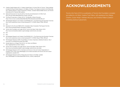- 43. Creative Capital Initiative (2011). Creative Capital Gains: An Action Plan for Toronto. These buildings included the Royal Ontario Museum, Art Gallery of Ontario, Four Seasons Centre for the Performing Arts, Gardiner Museum, Royal Conservatory of Music, Canada's National Ballet School, and Toronto International Film Festival's Bell Lightbox.
- 44. National Endowment for the Arts (2012). The Arts and Achievement in At-Risk Youth. http://arts.gov/sites/default/files/Arts-At-Risk-Youth.pdf
- 45. The Royal Conservatory of Music (2014). The Benefits of Music Education. https://www.rcmusic.ca/sites/default/files/files/RCM\_MusicEducationBenefits.pdf
- 46. Hill Strategies Research and Creative Trust/PAONE (2011). The Performing Arts Education Overview. http://www.creativetrust.ca/wp-content/uploads/2011/12/PAEO-Report-FINAL-REV.pdf
- 47. Ibid.
- 48. Business for the Arts and AIMIA (2015). Canadians Value Companies That Support the Arts. http://www.businessforthearts.org/research-initiative/
- 49. Toronto Arts Foundation and Leger (2016). Toronto Arts Stats: Public Opinion 2016. http://www.torontoartsfoundation.org/knowledge-center/toronto-arts-stats
- 50. Ibid.
- 51. Ibid.
- 52. Hill Strategies Research and Creative Trust/PAONE (2011). The Performing Arts Education Overview. http://www.creativetrust.ca/wp-content/uploads/2011/12/PAEO-Report-FINAL-REV.pdf
- 53. Hill Strategies Research (2008). Social Effects of Culture: Exploratory Statistical Evidence. http:// www.arts.on.ca/AssetFactory.aspx?did=2696
- 54. Daniels Spectrum at Regent Park (2014). Our Vision and Mission. http://regentparkarts.ca/vision-mission/
- 55. Toronto Arts Foundation and Leger (2016). Toronto Arts Stats: Public Opinion 2016. http://www.torontoartsfoundation.org/knowledge-center/toronto-arts-stats
- 56. Hill Strategies Research (2013). Volunteers and Donors in Arts and Culture Organizations in Canada in 2010. http://www.hillstrategies.com/content/volunteers-and-donors-arts-and-cultureorganizations-canada-2010
- 57. Hill Strategies Research (2010). Putting Arts and Culture on the Map: Literally!. http://hillstrategies.com/sites/default/files/Toronto\_cultural\_mapping.pdf

# **ACKNOWLEDGEMENTS**

*Toronto Arts Facts 2016* is a publication of Toronto Arts Foundation compiled and edited by Jini Stolk, Creative Trust Fellow, with assistance from Margo Charlton, Susan Wright, Kathleen McLeod, and Christine Pellerin (Carleton University practicum placement).